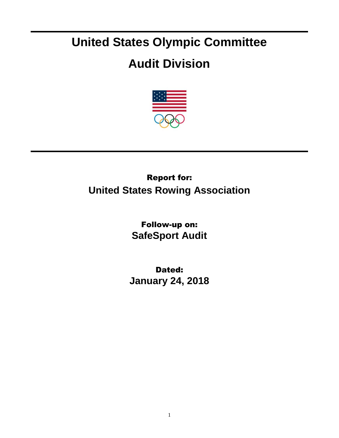# **United States Olympic Committee**

## **Audit Division**



## Report for: **United States Rowing Association**

Follow-up on: **SafeSport Audit**

Dated: **January 24, 2018**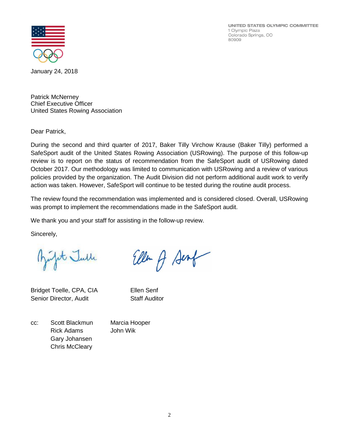UNITED STATES OLYMPIC COMMITTEE 1 Olympic Plaza Colorado Springs, CO 80909



January 24, 2018

Patrick McNerney Chief Executive Officer United States Rowing Association

Dear Patrick,

During the second and third quarter of 2017, Baker Tilly Virchow Krause (Baker Tilly) performed a SafeSport audit of the United States Rowing Association (USRowing). The purpose of this follow-up review is to report on the status of recommendation from the SafeSport audit of USRowing dated October 2017. Our methodology was limited to communication with USRowing and a review of various policies provided by the organization. The Audit Division did not perform additional audit work to verify action was taken. However, SafeSport will continue to be tested during the routine audit process.

The review found the recommendation was implemented and is considered closed. Overall, USRowing was prompt to implement the recommendations made in the SafeSport audit.

Ellen A Sent

We thank you and your staff for assisting in the follow-up review.

Sincerely,

infot Julle

Bridget Toelle, CPA, CIA Ellen Senf Senior Director, Audit Staff Auditor

cc: Scott Blackmun Marcia Hooper Rick Adams John Wik Gary Johansen Chris McCleary